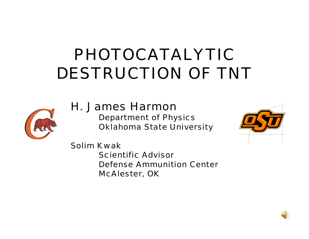# PHOTOCATALYTIC DESTRUCTION OF TNT



#### H. James Harmon

Department of Physics Oklahoma State University



Solim KwakScientific AdvisorDefense Ammunition CenterMcAlester, OK

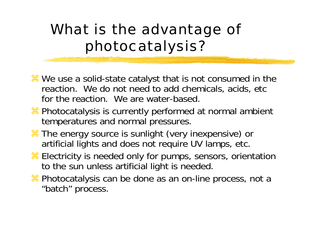### What is the advantage of photocatalysis?

- **a We use a solid-state catalyst that is not consumed in the** reaction. We do not need to add chemicals, acids, etc for the reaction. We are water-based.
- **a Photocatalysis is currently performed at normal ambient** temperatures and normal pressures.
- **at The energy source is sunlight (very inexpensive) or** artificial lights and does not require UV lamps, etc.
- **a Electricity is needed only for pumps, sensors, orientation** to the sun unless artificial light is needed.
- **a** Photocatalysis can be done as an on-line process, not a "batch" process.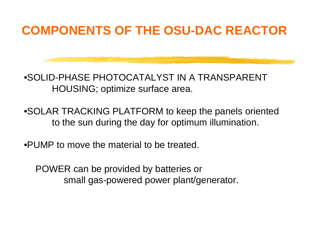### **COMPONENTS OF THE OSU-DAC REACTOR**



•SOLID-PHASE PHOTOCATALYST IN A TRANSPARENT HOUSING; optimize surface area.

•SOLAR TRACKING PLATFORM to keep the panels oriented to the sun during the day for optimum illumination.

•PUMP to move the material to be treated.

POWER can be provided by batteries or small gas-powered power plant/generator.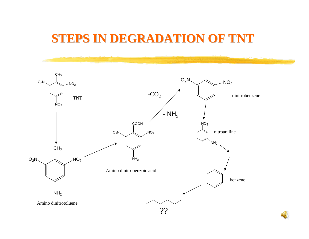#### **STEPS IN DEGRADATION OF TNT STEPS IN DEGRADATION OF TNT**



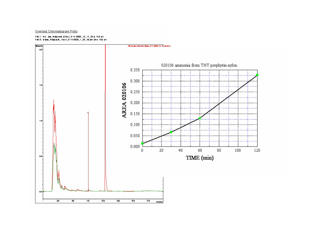Pbt 1: d3...pm fetpp-plk Dioir 2-11-2005 12 11 22 p RIG all 

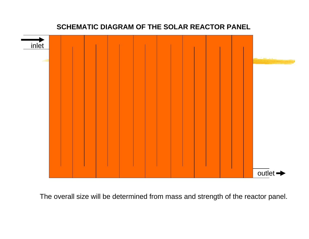#### **SCHEMATIC DIAGRAM OF THE SOLAR REACTOR PANEL**



The overall size will be determined from mass and strength of the reactor panel.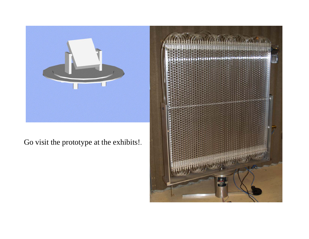

#### Go visit the prototype at the exhibits!.

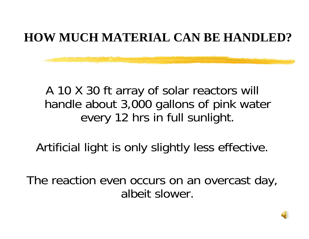### **HOW MUCH MATERIAL CAN BE HANDLED?**

### A 10 X 30 ft array of solar reactors will handle about 3,000 gallons of pink water every 12 hrs in full sunlight.

Artificial light is only slightly less effective.

The reaction even occurs on an overcast day, albeit slower.

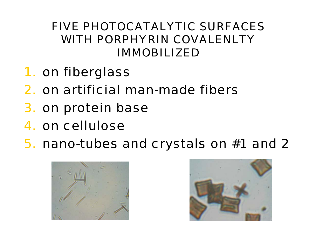#### FIVE PHOTOCATALYTIC SURFACES WITH PORPHYRIN COVALENLTY IMMOBILIZED

- 1. on fiberglass
- 2. on artificial man-made fibers
- 3. on protein base
- 4. on cellulose
- 5. nano-tubes and crystals on #1 and 2



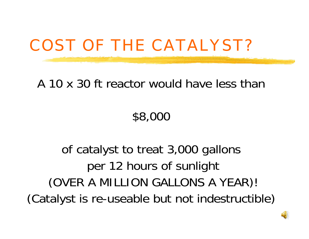# COST OF THE CATALYST?

#### A 10 x 30 ft reactor would have less than

### \$8,000

### of catalyst to treat 3,000 gallons per 12 hours of sunlight (OVER A MILLION GALLONS A YEAR)! (Catalyst is re-useable but not indestructible)

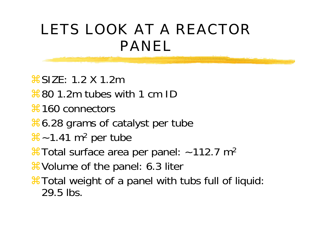### LETS LOOK AT A REACTOR PANEL

 $8$ SIZE: 1.2 X 1.2m  $\frac{46}{80}$  1.2m tubes with 1 cm ID **at 160 connectors**  $\frac{46}{50}$  6.28 grams of catalyst per tube  $\frac{42}{1.41}$  m<sup>2</sup> per tube  $*$ Total surface area per panel: ~112.7 m<sup>2</sup> **X** Volume of the panel: 6.3 liter **#Total weight of a panel with tubs full of liquid:** 29.5 lbs.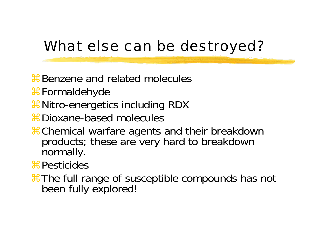### What else can be destroyed?

- **B** Benzene and related molecules
- #Formaldehyde
- **at Nitro-energetics including RDX**
- **a** Dioxane-based molecules
- **#Chemical warfare agents and their breakdown** products; these are very hard to breakdown normally.
- **\\$Pesticides**
- aThe full range of susceptible compounds has not been fully explored!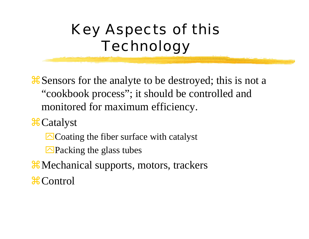## Key Aspects of this Technology

**#Sensors for the analyte to be destroyed; this is not a** "cookbook process"; it should be controlled and monitored for maximum efficiency.

 $\mathcal{H}$  Catalyst

 $\triangle$ Coating the fiber surface with catalyst

 $\triangle$ Packing the glass tubes

**X** Mechanical supports, motors, trackers **\**& Control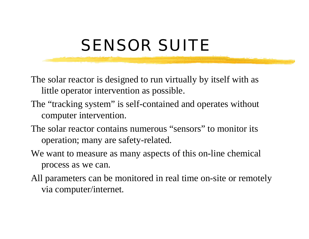# SENSOR SUITE

- The solar reactor is designed to run virtually by itself with as little operator intervention as possible.
- The "tracking system" is self-contained and operates without computer intervention.
- The solar reactor contains numerous "sensors" to monitor its operation; many are safety-related.
- We want to measure as many aspects of this on-line chemical process as we can.
- All parameters can be monitored in real time on-site or remotely via computer/internet.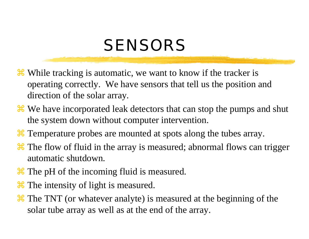## **SENSORS**

- <sup>36</sup> While tracking is automatic, we want to know if the tracker is operating correctly. We have sensors that tell us the position and direction of the solar array.
- <sup>36</sup> We have incorporated leak detectors that can stop the pumps and shut the system down without computer intervention.
- <sup>36</sup> Temperature probes are mounted at spots along the tubes array.
- <sup>36</sup> The flow of fluid in the array is measured; abnormal flows can trigger automatic shutdown.
- <sup>36</sup> The pH of the incoming fluid is measured.
- <sup>36</sup> The intensity of light is measured.
- **at** The TNT (or whatever analyte) is measured at the beginning of the solar tube array as well as at the end of the array.